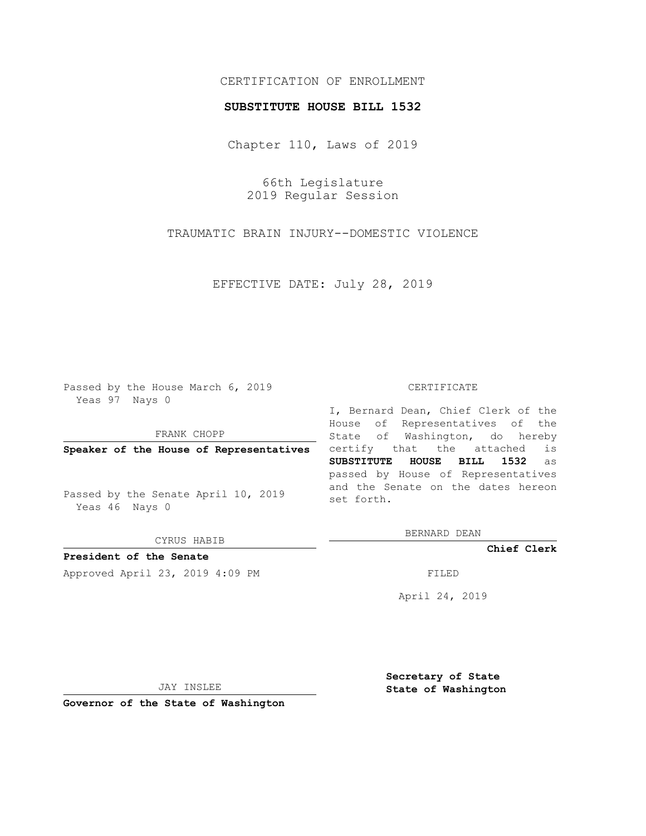## CERTIFICATION OF ENROLLMENT

### **SUBSTITUTE HOUSE BILL 1532**

Chapter 110, Laws of 2019

66th Legislature 2019 Regular Session

TRAUMATIC BRAIN INJURY--DOMESTIC VIOLENCE

EFFECTIVE DATE: July 28, 2019

Passed by the House March 6, 2019 Yeas 97 Nays 0

FRANK CHOPP

**Speaker of the House of Representatives**

Passed by the Senate April 10, 2019 Yeas 46 Nays 0

CYRUS HABIB

**President of the Senate**

Approved April 23, 2019 4:09 PM FILED

#### CERTIFICATE

I, Bernard Dean, Chief Clerk of the House of Representatives of the State of Washington, do hereby certify that the attached is **SUBSTITUTE HOUSE BILL 1532** as passed by House of Representatives and the Senate on the dates hereon set forth.

BERNARD DEAN

**Chief Clerk**

April 24, 2019

JAY INSLEE

**Governor of the State of Washington**

**Secretary of State State of Washington**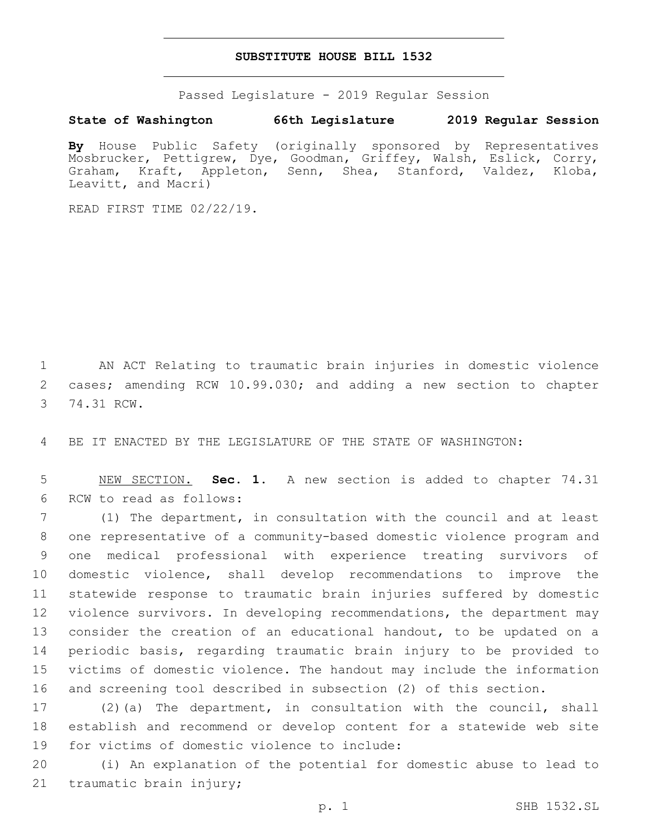## **SUBSTITUTE HOUSE BILL 1532**

Passed Legislature - 2019 Regular Session

# **State of Washington 66th Legislature 2019 Regular Session**

**By** House Public Safety (originally sponsored by Representatives Mosbrucker, Pettigrew, Dye, Goodman, Griffey, Walsh, Eslick, Corry, Graham, Kraft, Appleton, Senn, Shea, Stanford, Valdez, Kloba, Leavitt, and Macri)

READ FIRST TIME 02/22/19.

1 AN ACT Relating to traumatic brain injuries in domestic violence 2 cases; amending RCW 10.99.030; and adding a new section to chapter 3 74.31 RCW.

4 BE IT ENACTED BY THE LEGISLATURE OF THE STATE OF WASHINGTON:

5 NEW SECTION. **Sec. 1.** A new section is added to chapter 74.31 6 RCW to read as follows:

 (1) The department, in consultation with the council and at least one representative of a community-based domestic violence program and one medical professional with experience treating survivors of domestic violence, shall develop recommendations to improve the statewide response to traumatic brain injuries suffered by domestic violence survivors. In developing recommendations, the department may consider the creation of an educational handout, to be updated on a periodic basis, regarding traumatic brain injury to be provided to victims of domestic violence. The handout may include the information and screening tool described in subsection (2) of this section.

17 (2)(a) The department, in consultation with the council, shall 18 establish and recommend or develop content for a statewide web site 19 for victims of domestic violence to include:

20 (i) An explanation of the potential for domestic abuse to lead to 21 traumatic brain injury;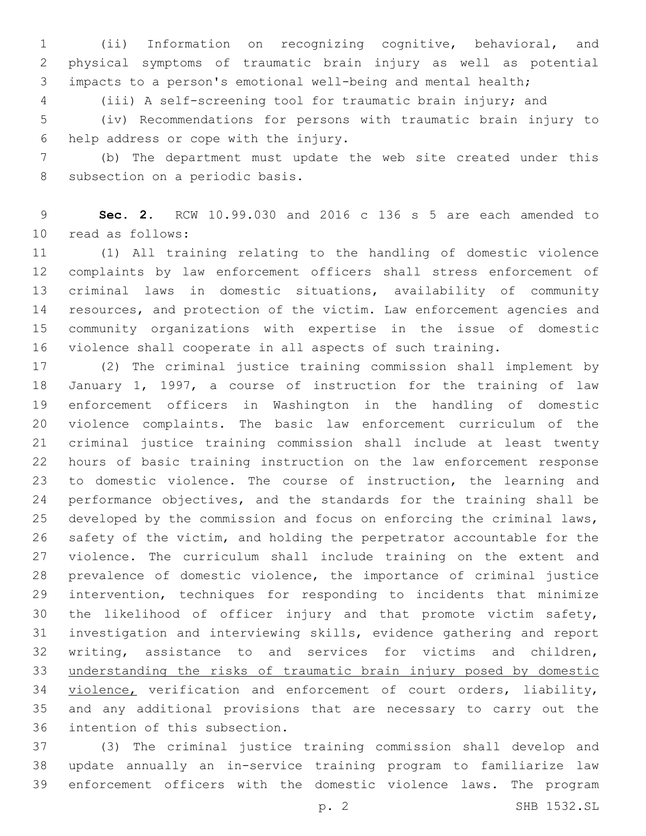(ii) Information on recognizing cognitive, behavioral, and physical symptoms of traumatic brain injury as well as potential impacts to a person's emotional well-being and mental health;

(iii) A self-screening tool for traumatic brain injury; and

 (iv) Recommendations for persons with traumatic brain injury to 6 help address or cope with the injury.

 (b) The department must update the web site created under this 8 subsection on a periodic basis.

 **Sec. 2.** RCW 10.99.030 and 2016 c 136 s 5 are each amended to 10 read as follows:

 (1) All training relating to the handling of domestic violence complaints by law enforcement officers shall stress enforcement of criminal laws in domestic situations, availability of community resources, and protection of the victim. Law enforcement agencies and community organizations with expertise in the issue of domestic violence shall cooperate in all aspects of such training.

 (2) The criminal justice training commission shall implement by January 1, 1997, a course of instruction for the training of law enforcement officers in Washington in the handling of domestic violence complaints. The basic law enforcement curriculum of the criminal justice training commission shall include at least twenty hours of basic training instruction on the law enforcement response to domestic violence. The course of instruction, the learning and performance objectives, and the standards for the training shall be developed by the commission and focus on enforcing the criminal laws, safety of the victim, and holding the perpetrator accountable for the violence. The curriculum shall include training on the extent and prevalence of domestic violence, the importance of criminal justice intervention, techniques for responding to incidents that minimize the likelihood of officer injury and that promote victim safety, investigation and interviewing skills, evidence gathering and report writing, assistance to and services for victims and children, understanding the risks of traumatic brain injury posed by domestic 34 violence, verification and enforcement of court orders, liability, and any additional provisions that are necessary to carry out the 36 intention of this subsection.

 (3) The criminal justice training commission shall develop and update annually an in-service training program to familiarize law enforcement officers with the domestic violence laws. The program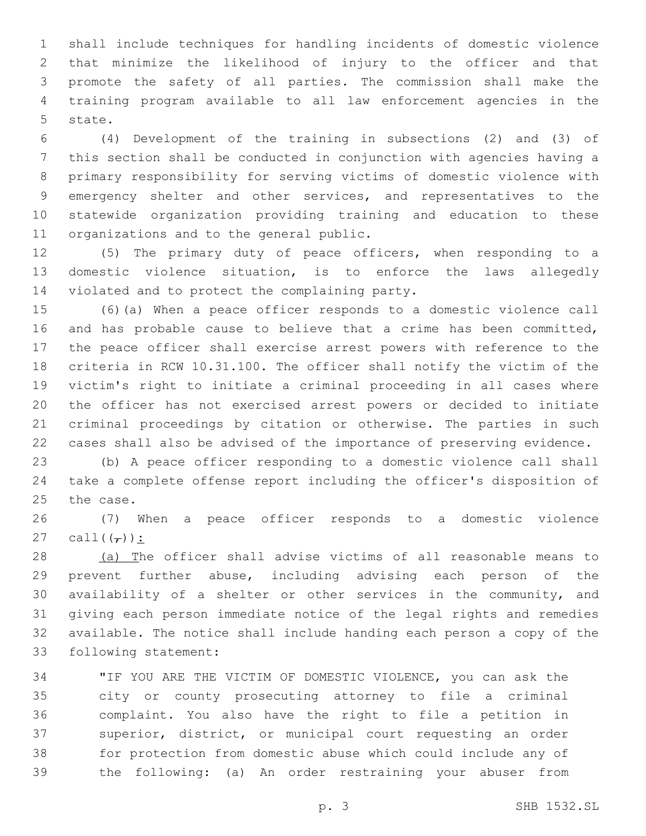shall include techniques for handling incidents of domestic violence that minimize the likelihood of injury to the officer and that promote the safety of all parties. The commission shall make the training program available to all law enforcement agencies in the 5 state.

 (4) Development of the training in subsections (2) and (3) of this section shall be conducted in conjunction with agencies having a primary responsibility for serving victims of domestic violence with emergency shelter and other services, and representatives to the statewide organization providing training and education to these 11 organizations and to the general public.

 (5) The primary duty of peace officers, when responding to a domestic violence situation, is to enforce the laws allegedly 14 violated and to protect the complaining party.

 (6)(a) When a peace officer responds to a domestic violence call and has probable cause to believe that a crime has been committed, the peace officer shall exercise arrest powers with reference to the criteria in RCW 10.31.100. The officer shall notify the victim of the victim's right to initiate a criminal proceeding in all cases where the officer has not exercised arrest powers or decided to initiate criminal proceedings by citation or otherwise. The parties in such cases shall also be advised of the importance of preserving evidence.

 (b) A peace officer responding to a domestic violence call shall take a complete offense report including the officer's disposition of 25 the case.

 (7) When a peace officer responds to a domestic violence 27 call $((\tau))$ :

 (a) The officer shall advise victims of all reasonable means to prevent further abuse, including advising each person of the availability of a shelter or other services in the community, and giving each person immediate notice of the legal rights and remedies available. The notice shall include handing each person a copy of the 33 following statement:

 "IF YOU ARE THE VICTIM OF DOMESTIC VIOLENCE, you can ask the city or county prosecuting attorney to file a criminal complaint. You also have the right to file a petition in superior, district, or municipal court requesting an order for protection from domestic abuse which could include any of the following: (a) An order restraining your abuser from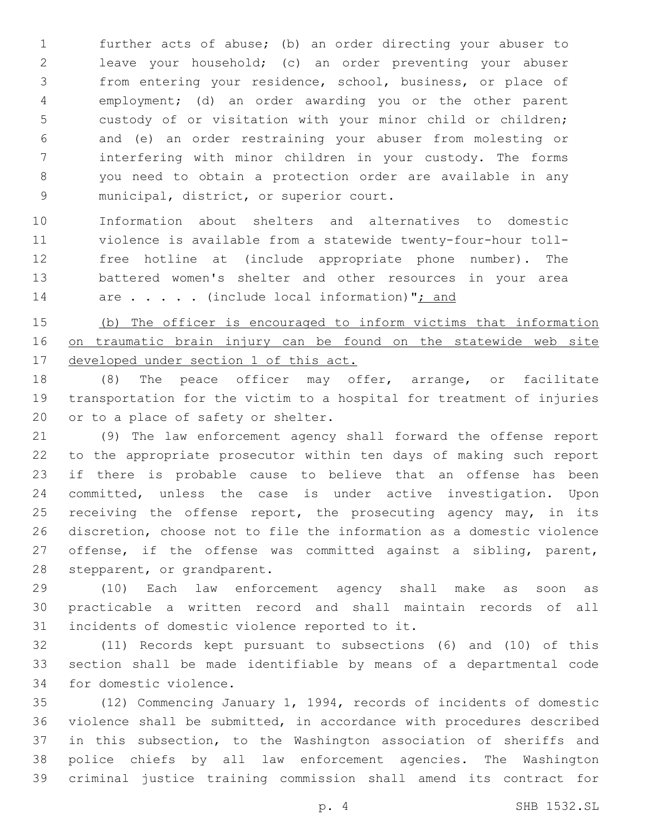further acts of abuse; (b) an order directing your abuser to leave your household; (c) an order preventing your abuser from entering your residence, school, business, or place of employment; (d) an order awarding you or the other parent custody of or visitation with your minor child or children; and (e) an order restraining your abuser from molesting or interfering with minor children in your custody. The forms you need to obtain a protection order are available in any 9 municipal, district, or superior court.

 Information about shelters and alternatives to domestic violence is available from a statewide twenty-four-hour toll- free hotline at (include appropriate phone number). The battered women's shelter and other resources in your area 14 are . . . . (include local information)"; and

 (b) The officer is encouraged to inform victims that information on traumatic brain injury can be found on the statewide web site developed under section 1 of this act.

 (8) The peace officer may offer, arrange, or facilitate transportation for the victim to a hospital for treatment of injuries 20 or to a place of safety or shelter.

 (9) The law enforcement agency shall forward the offense report to the appropriate prosecutor within ten days of making such report if there is probable cause to believe that an offense has been committed, unless the case is under active investigation. Upon 25 receiving the offense report, the prosecuting agency may, in its discretion, choose not to file the information as a domestic violence offense, if the offense was committed against a sibling, parent, 28 stepparent, or grandparent.

 (10) Each law enforcement agency shall make as soon as practicable a written record and shall maintain records of all 31 incidents of domestic violence reported to it.

 (11) Records kept pursuant to subsections (6) and (10) of this section shall be made identifiable by means of a departmental code 34 for domestic violence.

 (12) Commencing January 1, 1994, records of incidents of domestic violence shall be submitted, in accordance with procedures described in this subsection, to the Washington association of sheriffs and police chiefs by all law enforcement agencies. The Washington criminal justice training commission shall amend its contract for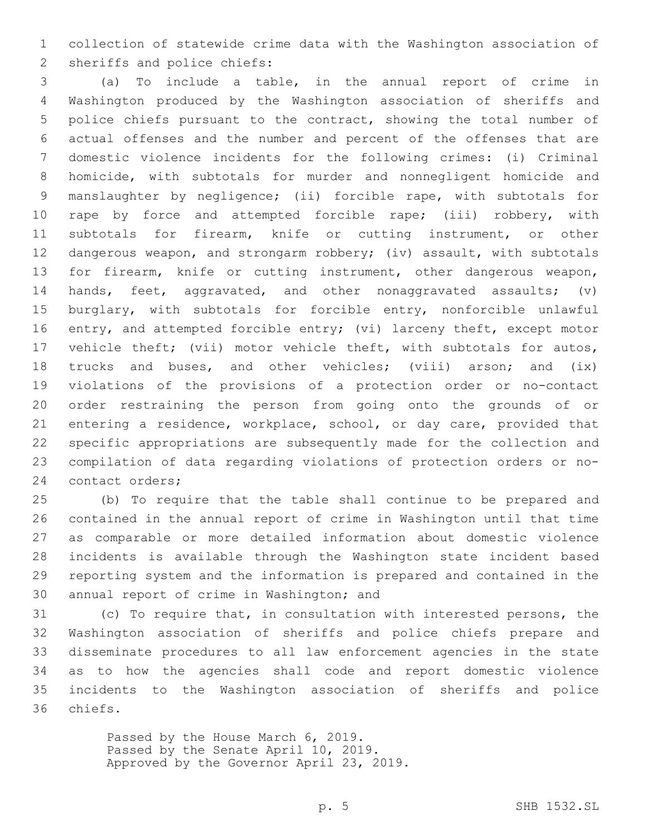collection of statewide crime data with the Washington association of 2 sheriffs and police chiefs:

 (a) To include a table, in the annual report of crime in Washington produced by the Washington association of sheriffs and police chiefs pursuant to the contract, showing the total number of actual offenses and the number and percent of the offenses that are domestic violence incidents for the following crimes: (i) Criminal homicide, with subtotals for murder and nonnegligent homicide and manslaughter by negligence; (ii) forcible rape, with subtotals for rape by force and attempted forcible rape; (iii) robbery, with subtotals for firearm, knife or cutting instrument, or other 12 dangerous weapon, and strongarm robbery; (iv) assault, with subtotals 13 for firearm, knife or cutting instrument, other dangerous weapon, 14 hands, feet, aggravated, and other nonaggravated assaults; (v) burglary, with subtotals for forcible entry, nonforcible unlawful 16 entry, and attempted forcible entry; (vi) larceny theft, except motor vehicle theft; (vii) motor vehicle theft, with subtotals for autos, 18 trucks and buses, and other vehicles; (viii) arson; and (ix) violations of the provisions of a protection order or no-contact order restraining the person from going onto the grounds of or entering a residence, workplace, school, or day care, provided that specific appropriations are subsequently made for the collection and compilation of data regarding violations of protection orders or no-24 contact orders;

 (b) To require that the table shall continue to be prepared and contained in the annual report of crime in Washington until that time as comparable or more detailed information about domestic violence incidents is available through the Washington state incident based reporting system and the information is prepared and contained in the 30 annual report of crime in Washington; and

 (c) To require that, in consultation with interested persons, the Washington association of sheriffs and police chiefs prepare and disseminate procedures to all law enforcement agencies in the state as to how the agencies shall code and report domestic violence incidents to the Washington association of sheriffs and police 36 chiefs.

> Passed by the House March 6, 2019. Passed by the Senate April 10, 2019. Approved by the Governor April 23, 2019.